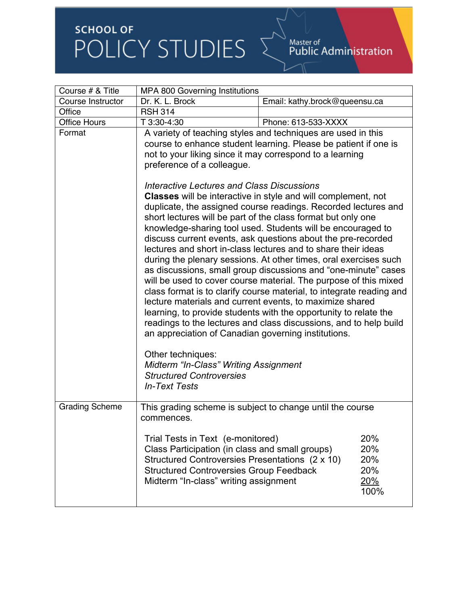# SCHOOL OF<br>POLICY STUDIES  $\sum_{\text{Master of public Administration}}$

| Course # & Title      | MPA 800 Governing Institutions                                                                                                                                                                                                                                                                                                                                                                                                                                                                                                                                                                                                                                              |                                         |  |
|-----------------------|-----------------------------------------------------------------------------------------------------------------------------------------------------------------------------------------------------------------------------------------------------------------------------------------------------------------------------------------------------------------------------------------------------------------------------------------------------------------------------------------------------------------------------------------------------------------------------------------------------------------------------------------------------------------------------|-----------------------------------------|--|
| Course Instructor     | Dr. K. L. Brock                                                                                                                                                                                                                                                                                                                                                                                                                                                                                                                                                                                                                                                             | Email: kathy.brock@queensu.ca           |  |
| Office                | <b>RSH 314</b>                                                                                                                                                                                                                                                                                                                                                                                                                                                                                                                                                                                                                                                              |                                         |  |
| <b>Office Hours</b>   | T 3:30-4:30                                                                                                                                                                                                                                                                                                                                                                                                                                                                                                                                                                                                                                                                 | Phone: 613-533-XXXX                     |  |
| Format                | A variety of teaching styles and techniques are used in this<br>course to enhance student learning. Please be patient if one is<br>not to your liking since it may correspond to a learning<br>preference of a colleague.<br>Interactive Lectures and Class Discussions<br><b>Classes</b> will be interactive in style and will complement, not<br>duplicate, the assigned course readings. Recorded lectures and<br>short lectures will be part of the class format but only one<br>knowledge-sharing tool used. Students will be encouraged to                                                                                                                            |                                         |  |
|                       | discuss current events, ask questions about the pre-recorded<br>lectures and short in-class lectures and to share their ideas<br>during the plenary sessions. At other times, oral exercises such<br>as discussions, small group discussions and "one-minute" cases<br>will be used to cover course material. The purpose of this mixed<br>class format is to clarify course material, to integrate reading and<br>lecture materials and current events, to maximize shared<br>learning, to provide students with the opportunity to relate the<br>readings to the lectures and class discussions, and to help build<br>an appreciation of Canadian governing institutions. |                                         |  |
|                       | Other techniques:<br>Midterm "In-Class" Writing Assignment<br><b>Structured Controversies</b><br><b>In-Text Tests</b>                                                                                                                                                                                                                                                                                                                                                                                                                                                                                                                                                       |                                         |  |
| <b>Grading Scheme</b> | This grading scheme is subject to change until the course<br>commences.                                                                                                                                                                                                                                                                                                                                                                                                                                                                                                                                                                                                     |                                         |  |
|                       | Trial Tests in Text (e-monitored)<br>Class Participation (in class and small groups)<br>Structured Controversies Presentations (2 x 10)<br><b>Structured Controversies Group Feedback</b><br>Midterm "In-class" writing assignment                                                                                                                                                                                                                                                                                                                                                                                                                                          | 20%<br>20%<br>20%<br>20%<br>20%<br>100% |  |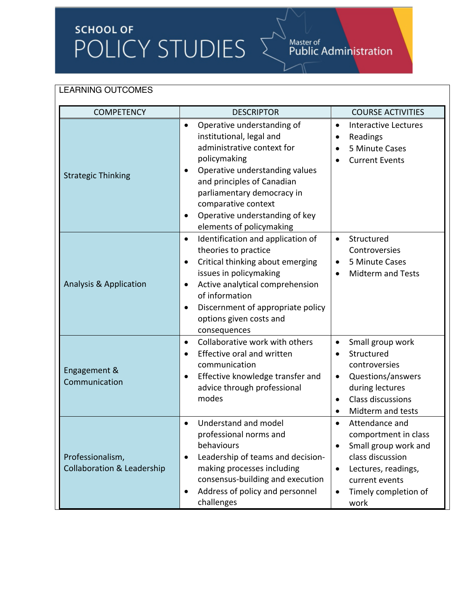## **SCHOOL OF** POLICY STUDIES  $\sum_{\text{Public Administration}}$

#### LEARNING OUTCOMES

| <b>COMPETENCY</b>                                         | <b>DESCRIPTOR</b>                                                                                                                                                                                                                                                                                                              | <b>COURSE ACTIVITIES</b>                                                                                                                                                                           |
|-----------------------------------------------------------|--------------------------------------------------------------------------------------------------------------------------------------------------------------------------------------------------------------------------------------------------------------------------------------------------------------------------------|----------------------------------------------------------------------------------------------------------------------------------------------------------------------------------------------------|
| <b>Strategic Thinking</b>                                 | Operative understanding of<br>$\bullet$<br>institutional, legal and<br>administrative context for<br>policymaking<br>Operative understanding values<br>$\bullet$<br>and principles of Canadian<br>parliamentary democracy in<br>comparative context<br>Operative understanding of key<br>$\bullet$<br>elements of policymaking | <b>Interactive Lectures</b><br>$\bullet$<br>Readings<br>$\bullet$<br>5 Minute Cases<br>$\bullet$<br><b>Current Events</b><br>$\bullet$                                                             |
| <b>Analysis &amp; Application</b>                         | Identification and application of<br>$\bullet$<br>theories to practice<br>Critical thinking about emerging<br>$\bullet$<br>issues in policymaking<br>Active analytical comprehension<br>$\bullet$<br>of information<br>Discernment of appropriate policy<br>$\bullet$<br>options given costs and<br>consequences               | Structured<br>$\bullet$<br>Controversies<br>5 Minute Cases<br>$\bullet$<br><b>Midterm and Tests</b>                                                                                                |
| Engagement &<br>Communication                             | Collaborative work with others<br>$\bullet$<br>Effective oral and written<br>communication<br>Effective knowledge transfer and<br>٠<br>advice through professional<br>modes                                                                                                                                                    | Small group work<br>$\bullet$<br>Structured<br>$\bullet$<br>controversies<br>Questions/answers<br>$\bullet$<br>during lectures<br>Class discussions<br>$\bullet$<br>Midterm and tests              |
| Professionalism,<br><b>Collaboration &amp; Leadership</b> | Understand and model<br>$\bullet$<br>professional norms and<br>behaviours<br>Leadership of teams and decision-<br>$\bullet$<br>making processes including<br>consensus-building and execution<br>Address of policy and personnel<br>$\bullet$<br>challenges                                                                    | Attendance and<br>$\bullet$<br>comportment in class<br>Small group work and<br>class discussion<br>Lectures, readings,<br>$\bullet$<br>current events<br>Timely completion of<br>$\bullet$<br>work |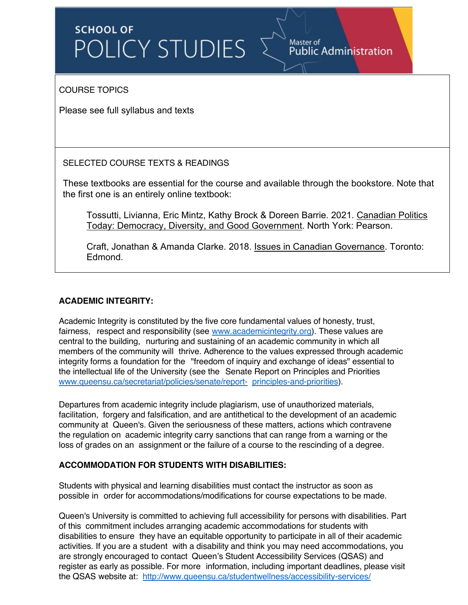## **SCHOOL OF** POLICY STUDIES

Master of<br>Public Administration

COURSE TOPICS

Please see full syllabus and texts

#### SELECTED COURSE TEXTS & READINGS

These textbooks are essential for the course and available through the bookstore. Note that the first one is an entirely online textbook:

Tossutti, Livianna, Eric Mintz, Kathy Brock & Doreen Barrie. 2021. Canadian Politics Today: Democracy, Diversity, and Good Government. North York: Pearson.

Craft, Jonathan & Amanda Clarke. 2018. Issues in Canadian Governance. Toronto: Edmond.

#### **ACADEMIC INTEGRITY:**

Academic Integrity is constituted by the five core fundamental values of honesty, trust, fairness, respect and responsibility (see www.academicintegrity.org). These values are central to the building, nurturing and sustaining of an academic community in which all members of the community will thrive. Adherence to the values expressed through academic integrity forms a foundation for the "freedom of inquiry and exchange of ideas" essential to the intellectual life of the University (see the Senate Report on Principles and Priorities www.queensu.ca/secretariat/policies/senate/report- principles-and-priorities).

Departures from academic integrity include plagiarism, use of unauthorized materials, facilitation, forgery and falsification, and are antithetical to the development of an academic community at Queen's. Given the seriousness of these matters, actions which contravene the regulation on academic integrity carry sanctions that can range from a warning or the loss of grades on an assignment or the failure of a course to the rescinding of a degree.

#### **ACCOMMODATION FOR STUDENTS WITH DISABILITIES:**

Students with physical and learning disabilities must contact the instructor as soon as possible in order for accommodations/modifications for course expectations to be made.

Queen's University is committed to achieving full accessibility for persons with disabilities. Part of this commitment includes arranging academic accommodations for students with disabilities to ensure they have an equitable opportunity to participate in all of their academic activities. If you are a student with a disability and think you may need accommodations, you are strongly encouraged to contact Queen's Student Accessibility Services (QSAS) and register as early as possible. For more information, including important deadlines, please visit the QSAS website at: http://www.queensu.ca/studentwellness/accessibility-services/